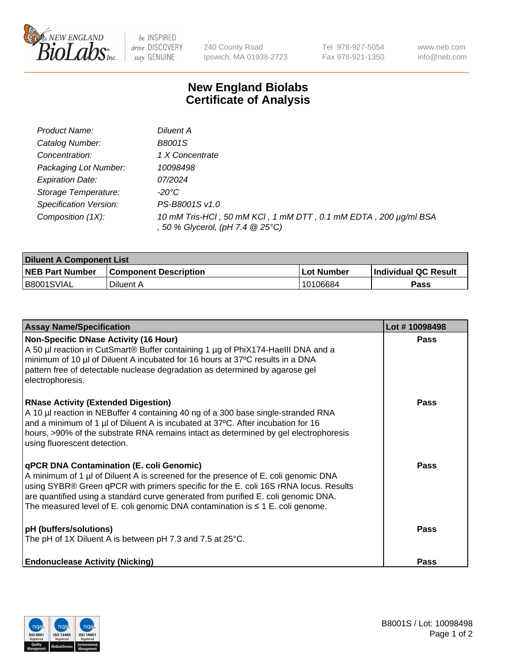

 $be$  INSPIRED drive DISCOVERY stay GENUINE

240 County Road Ipswich, MA 01938-2723 Tel 978-927-5054 Fax 978-921-1350 www.neb.com info@neb.com

## **New England Biolabs Certificate of Analysis**

| Product Name:           | Diluent A                                                                                           |
|-------------------------|-----------------------------------------------------------------------------------------------------|
| Catalog Number:         | B8001S                                                                                              |
| Concentration:          | 1 X Concentrate                                                                                     |
| Packaging Lot Number:   | 10098498                                                                                            |
| <b>Expiration Date:</b> | 07/2024                                                                                             |
| Storage Temperature:    | -20°C                                                                                               |
| Specification Version:  | PS-B8001S v1.0                                                                                      |
| Composition (1X):       | 10 mM Tris-HCl, 50 mM KCl, 1 mM DTT, 0.1 mM EDTA, 200 µg/ml BSA<br>, 50 % Glycerol, (pH 7.4 @ 25°C) |

| <b>Diluent A Component List</b> |                              |                   |                      |  |
|---------------------------------|------------------------------|-------------------|----------------------|--|
| <b>NEB Part Number</b>          | <b>Component Description</b> | <b>Lot Number</b> | Individual QC Result |  |
| <b>B8001SVIAL</b>               | Diluent A                    | 10106684          | Pass                 |  |

| <b>Assay Name/Specification</b>                                                                                                                                                                                                                                                                                                                                                                            | Lot #10098498 |
|------------------------------------------------------------------------------------------------------------------------------------------------------------------------------------------------------------------------------------------------------------------------------------------------------------------------------------------------------------------------------------------------------------|---------------|
| <b>Non-Specific DNase Activity (16 Hour)</b><br>A 50 µl reaction in CutSmart® Buffer containing 1 µg of PhiX174-HaellI DNA and a<br>minimum of 10 µl of Diluent A incubated for 16 hours at 37°C results in a DNA<br>pattern free of detectable nuclease degradation as determined by agarose gel<br>electrophoresis.                                                                                      | <b>Pass</b>   |
| <b>RNase Activity (Extended Digestion)</b><br>A 10 µl reaction in NEBuffer 4 containing 40 ng of a 300 base single-stranded RNA<br>and a minimum of 1 µl of Diluent A is incubated at 37°C. After incubation for 16<br>hours, >90% of the substrate RNA remains intact as determined by gel electrophoresis<br>using fluorescent detection.                                                                | Pass          |
| <b>qPCR DNA Contamination (E. coli Genomic)</b><br>A minimum of 1 µl of Diluent A is screened for the presence of E. coli genomic DNA<br>using SYBR® Green qPCR with primers specific for the E. coli 16S rRNA locus. Results<br>are quantified using a standard curve generated from purified E. coli genomic DNA.<br>The measured level of E. coli genomic DNA contamination is $\leq 1$ E. coli genome. | Pass          |
| <b>pH</b> (buffers/solutions)<br>The pH of 1X Diluent A is between pH 7.3 and 7.5 at 25°C.                                                                                                                                                                                                                                                                                                                 | Pass          |
| <b>Endonuclease Activity (Nicking)</b>                                                                                                                                                                                                                                                                                                                                                                     | <b>Pass</b>   |